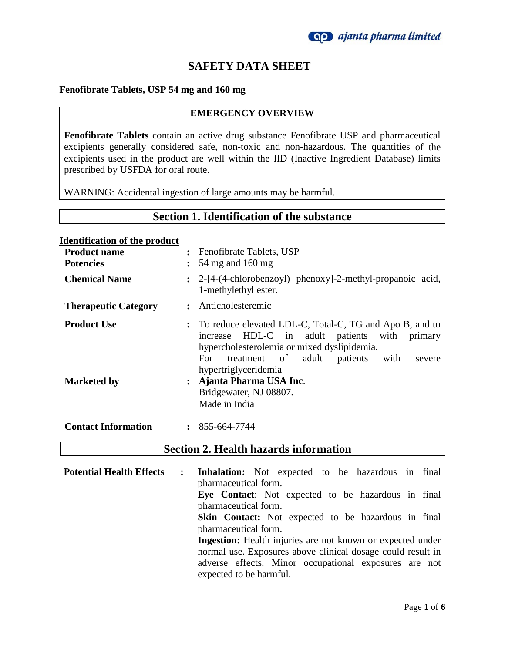

# **SAFETY DATA SHEET**

#### **Fenofibrate Tablets, USP 54 mg and 160 mg**

#### **EMERGENCY OVERVIEW**

**Fenofibrate Tablets** contain an active drug substance Fenofibrate USP and pharmaceutical excipients generally considered safe, non-toxic and non-hazardous. The quantities of the excipients used in the product are well within the IID (Inactive Ingredient Database) limits prescribed by USFDA for oral route.

WARNING: Accidental ingestion of large amounts may be harmful.

### **Section 1. Identification of the substance**

#### **Identification of the product**

| <b>Product name</b><br><b>Potencies</b> | $\ddot{\phantom{a}}$ | Fenofibrate Tablets, USP<br>54 mg and 160 mg                                                                                                                                                                                                        |
|-----------------------------------------|----------------------|-----------------------------------------------------------------------------------------------------------------------------------------------------------------------------------------------------------------------------------------------------|
| <b>Chemical Name</b>                    |                      | : 2-[4-(4-chlorobenzoyl) phenoxy]-2-methyl-propanoic acid,<br>1-methylethyl ester.                                                                                                                                                                  |
| <b>Therapeutic Category</b>             |                      | Anticholesteremic                                                                                                                                                                                                                                   |
| <b>Product Use</b>                      |                      | To reduce elevated LDL-C, Total-C, TG and Apo B, and to<br>HDL-C in adult patients with<br>primary<br>increase<br>hypercholesterolemia or mixed dyslipidemia.<br>adult<br>patients<br>treatment of<br>with<br>For<br>severe<br>hypertriglyceridemia |
| <b>Marketed by</b>                      | $\ddot{\cdot}$       | Ajanta Pharma USA Inc.<br>Bridgewater, NJ 08807.<br>Made in India                                                                                                                                                                                   |
| <b>Contact Information</b>              |                      | 855-664-7744                                                                                                                                                                                                                                        |

### **Section 2. Health hazards information**

**Potential Health Effects : Inhalation:** Not expected to be hazardous in final pharmaceutical form. **Eye Contact**: Not expected to be hazardous in final pharmaceutical form. **Skin Contact:** Not expected to be hazardous in final pharmaceutical form. **Ingestion:** Health injuries are not known or expected under normal use. Exposures above clinical dosage could result in adverse effects. Minor occupational exposures are not expected to be harmful.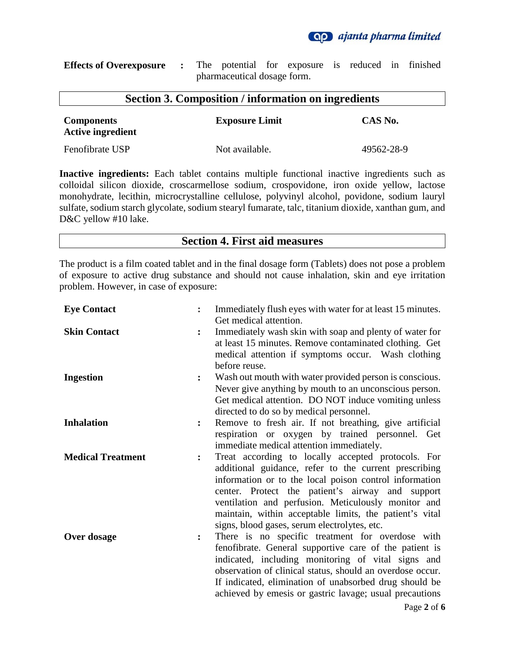**Qp** ajanta pharma limited

| <b>Effects of Overexposure :</b> The potential for exposure is reduced in finished |  |                             |  |  |  |
|------------------------------------------------------------------------------------|--|-----------------------------|--|--|--|
|                                                                                    |  | pharmaceutical dosage form. |  |  |  |

| <b>Section 3. Composition / information on ingredients</b> |                       |            |  |
|------------------------------------------------------------|-----------------------|------------|--|
| <b>Components</b><br><b>Active ingredient</b>              | <b>Exposure Limit</b> | CAS No.    |  |
| Fenofibrate USP                                            | Not available.        | 49562-28-9 |  |

**Inactive ingredients:** Each tablet contains multiple functional inactive ingredients such as colloidal silicon dioxide, croscarmellose sodium, crospovidone, iron oxide yellow, lactose monohydrate, lecithin, microcrystalline cellulose, polyvinyl alcohol, povidone, sodium lauryl sulfate, sodium starch glycolate, sodium stearyl fumarate, talc, titanium dioxide, xanthan gum, and D&C yellow #10 lake.

## **Section 4. First aid measures**

The product is a film coated tablet and in the final dosage form (Tablets) does not pose a problem of exposure to active drug substance and should not cause inhalation, skin and eye irritation problem. However, in case of exposure:

| <b>Eye Contact</b>                         | Immediately flush eyes with water for at least 15 minutes.<br>Get medical attention.                                                                                                                                                                                                                                                                                                        |
|--------------------------------------------|---------------------------------------------------------------------------------------------------------------------------------------------------------------------------------------------------------------------------------------------------------------------------------------------------------------------------------------------------------------------------------------------|
| <b>Skin Contact</b>                        | Immediately wash skin with soap and plenty of water for<br>at least 15 minutes. Remove contaminated clothing. Get<br>medical attention if symptoms occur. Wash clothing<br>before reuse.                                                                                                                                                                                                    |
| <b>Ingestion</b><br>$\ddot{\cdot}$         | Wash out mouth with water provided person is conscious.<br>Never give anything by mouth to an unconscious person.<br>Get medical attention. DO NOT induce vomiting unless<br>directed to do so by medical personnel.                                                                                                                                                                        |
| <b>Inhalation</b><br>$\ddot{\cdot}$        | Remove to fresh air. If not breathing, give artificial<br>respiration or oxygen by trained personnel. Get<br>immediate medical attention immediately.                                                                                                                                                                                                                                       |
| <b>Medical Treatment</b><br>$\ddot{\cdot}$ | Treat according to locally accepted protocols. For<br>additional guidance, refer to the current prescribing<br>information or to the local poison control information<br>center. Protect the patient's airway and support<br>ventilation and perfusion. Meticulously monitor and<br>maintain, within acceptable limits, the patient's vital<br>signs, blood gases, serum electrolytes, etc. |
| Over dosage<br>$\ddot{\cdot}$              | There is no specific treatment for overdose with<br>fenofibrate. General supportive care of the patient is<br>indicated, including monitoring of vital signs and<br>observation of clinical status, should an overdose occur.<br>If indicated, elimination of unabsorbed drug should be<br>achieved by emesis or gastric lavage; usual precautions<br>P <sub>309</sub> 2 of 6               |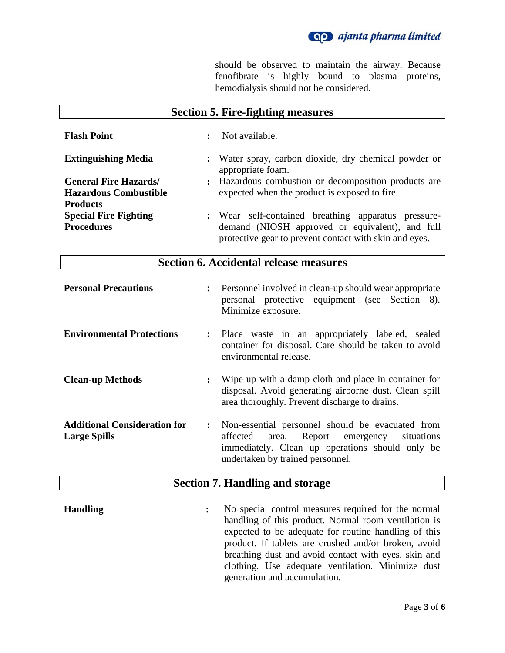

should be observed to maintain the airway. Because fenofibrate is highly bound to plasma proteins, hemodialysis should not be considered.

| <b>Section 5. Fire-fighting measures</b>                                        |                                                                                                                                                                  |  |
|---------------------------------------------------------------------------------|------------------------------------------------------------------------------------------------------------------------------------------------------------------|--|
| <b>Flash Point</b>                                                              | Not available.<br>$\ddot{\cdot}$                                                                                                                                 |  |
| <b>Extinguishing Media</b>                                                      | : Water spray, carbon dioxide, dry chemical powder or<br>appropriate foam.                                                                                       |  |
| <b>General Fire Hazards/</b><br><b>Hazardous Combustible</b><br><b>Products</b> | : Hazardous combustion or decomposition products are<br>expected when the product is exposed to fire.                                                            |  |
| <b>Special Fire Fighting</b><br><b>Procedures</b>                               | : Wear self-contained breathing apparatus pressure-<br>demand (NIOSH approved or equivalent), and full<br>protective gear to prevent contact with skin and eyes. |  |

## **Section 6. Accidental release measures**

| <b>Personal Precautions</b>                                | $\ddot{\cdot}$ | Personnel involved in clean-up should wear appropriate<br>personal protective equipment (see Section 8).<br>Minimize exposure.                                                           |
|------------------------------------------------------------|----------------|------------------------------------------------------------------------------------------------------------------------------------------------------------------------------------------|
| <b>Environmental Protections</b>                           |                | : Place waste in an appropriately labeled, sealed<br>container for disposal. Care should be taken to avoid<br>environmental release.                                                     |
| <b>Clean-up Methods</b>                                    | $\ddot{\cdot}$ | Wipe up with a damp cloth and place in container for<br>disposal. Avoid generating airborne dust. Clean spill<br>area thoroughly. Prevent discharge to drains.                           |
| <b>Additional Consideration for</b><br><b>Large Spills</b> | $\ddot{\cdot}$ | Non-essential personnel should be evacuated from<br>area. Report emergency situations<br>affected<br>immediately. Clean up operations should only be<br>undertaken by trained personnel. |

# **Section 7. Handling and storage**

**Handling :** No special control measures required for the normal handling of this product. Normal room ventilation is expected to be adequate for routine handling of this product. If tablets are crushed and/or broken, avoid breathing dust and avoid contact with eyes, skin and clothing. Use adequate ventilation. Minimize dust generation and accumulation.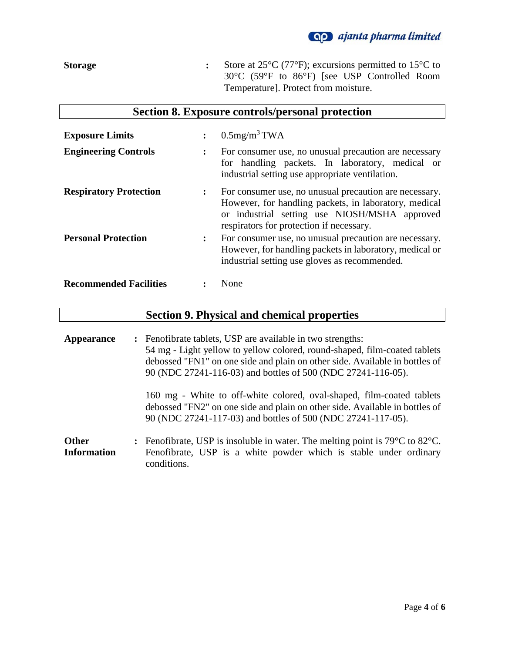

**Storage :** Store at 25°C (77°F); excursions permitted to 15°C to 30°C (59°F to 86°F) [see USP Controlled Room Temperature]. Protect from moisture.

|  | Section 8. Exposure controls/personal protection |  |  |  |
|--|--------------------------------------------------|--|--|--|
|--|--------------------------------------------------|--|--|--|

| <b>Exposure Limits</b>        | $\ddot{\cdot}$       | $0.5$ mg/m <sup>3</sup> TWA                                                                                                                                                                                  |
|-------------------------------|----------------------|--------------------------------------------------------------------------------------------------------------------------------------------------------------------------------------------------------------|
| <b>Engineering Controls</b>   |                      | For consumer use, no unusual precaution are necessary<br>for handling packets. In laboratory, medical or<br>industrial setting use appropriate ventilation.                                                  |
| <b>Respiratory Protection</b> | $\ddot{\phantom{a}}$ | For consumer use, no unusual precaution are necessary.<br>However, for handling packets, in laboratory, medical<br>or industrial setting use NIOSH/MSHA approved<br>respirators for protection if necessary. |
| <b>Personal Protection</b>    | $\ddot{\phantom{a}}$ | For consumer use, no unusual precaution are necessary.<br>However, for handling packets in laboratory, medical or<br>industrial setting use gloves as recommended.                                           |
| <b>Recommended Facilities</b> |                      | None                                                                                                                                                                                                         |

## **Section 9. Physical and chemical properties**

**Appearance :** Fenofibrate tablets, USP are available in two strengths: 54 mg - Light yellow to yellow colored, round-shaped, film-coated tablets debossed "FN1" on one side and plain on other side. Available in bottles of 90 (NDC 27241-116-03) and bottles of 500 (NDC 27241-116-05). 160 mg - White to off-white colored, oval-shaped, film-coated tablets debossed "FN2" on one side and plain on other side. Available in bottles of 90 (NDC 27241-117-03) and bottles of 500 (NDC 27241-117-05). **Other Information :** Fenofibrate, USP is insoluble in water. The melting point is 79°C to 82°C. Fenofibrate, USP is a white powder which is stable under ordinary

conditions.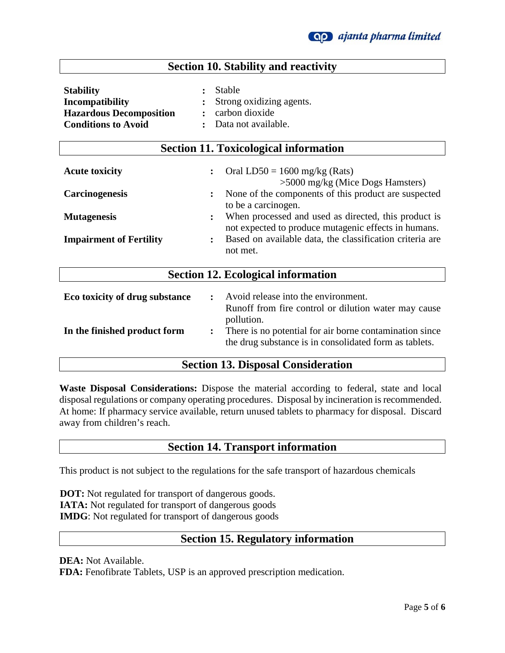

## **Section 10. Stability and reactivity**

**Section 11. Toxicological information**

| <b>Stability</b>               | : Stable                   |
|--------------------------------|----------------------------|
| Incompatibility                | : Strong oxidizing agents. |
| <b>Hazardous Decomposition</b> | : carbon dioxide           |
| <b>Conditions to Avoid</b>     | : Data not available.      |

| $\ddot{\cdot}$ | Oral LD50 = $1600$ mg/kg (Rats)<br>$>5000$ mg/kg (Mice Dogs Hamsters)                                                           |
|----------------|---------------------------------------------------------------------------------------------------------------------------------|
| $\ddot{\cdot}$ | None of the components of this product are suspected<br>to be a carcinogen.                                                     |
| $\ddot{\cdot}$ | When processed and used as directed, this product is<br>not expected to produce mutagenic effects in humans.                    |
| $\ddot{\cdot}$ | Based on available data, the classification criteria are<br>not met.                                                            |
|                | <b>Section 12. Ecological information</b>                                                                                       |
| $\ddot{\cdot}$ | Avoid release into the environment.<br>Runoff from fire control or dilution water may cause                                     |
| $\ddot{\cdot}$ | pollution.<br>There is no potential for air borne contamination since<br>the drug substance is in consolidated form as tablets. |
|                |                                                                                                                                 |

## **Section 13. Disposal Consideration**

**Waste Disposal Considerations:** Dispose the material according to federal, state and local disposal regulations or company operating procedures. Disposal by incineration is recommended. At home: If pharmacy service available, return unused tablets to pharmacy for disposal. Discard away from children's reach.

### **Section 14. Transport information**

This product is not subject to the regulations for the safe transport of hazardous chemicals

 **DOT:** Not regulated for transport of dangerous goods.  **IATA:** Not regulated for transport of dangerous goods  **IMDG**: Not regulated for transport of dangerous goods

## **Section 15. Regulatory information**

**DEA:** Not Available.

**FDA:** Fenofibrate Tablets, USP is an approved prescription medication.